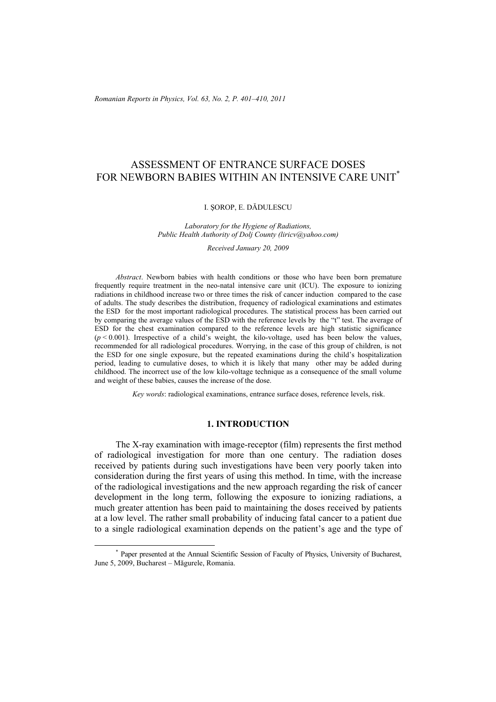# ASSESSMENT OF ENTRANCE SURFACE DOSES FOR NEWBORN BABIES WITHIN AN INTENSIVE CARE UNIT<sup>\*</sup>

#### I. ŞOROP, E. DĂDULESCU

#### *Laboratory for the Hygiene of Radiations, Public Health Authority of Dolj County (liricv@yahoo.com)*

*Received January 20, 2009* 

*Abstract*. Newborn babies with health conditions or those who have been born premature frequently require treatment in the neo-natal intensive care unit (ICU). The exposure to ionizing radiations in childhood increase two or three times the risk of cancer induction compared to the case of adults. The study describes the distribution, frequency of radiological examinations and estimates the ESD for the most important radiological procedures. The statistical process has been carried out by comparing the average values of the ESD with the reference levels by the "t" test. The average of ESD for the chest examination compared to the reference levels are high statistic significance  $(p < 0.001)$ . Irrespective of a child's weight, the kilo-voltage, used has been below the values, recommended for all radiological procedures. Worrying, in the case of this group of children, is not the ESD for one single exposure, but the repeated examinations during the child's hospitalization period, leading to cumulative doses, to which it is likely that many other may be added during childhood. The incorrect use of the low kilo-voltage technique as a consequence of the small volume and weight of these babies, causes the increase of the dose.

*Key words*: radiological examinations, entrance surface doses, reference levels, risk.

## **1. INTRODUCTION**

The X-ray examination with image-receptor (film) represents the first method of radiological investigation for more than one century. The radiation doses received by patients during such investigations have been very poorly taken into consideration during the first years of using this method. In time, with the increase of the radiological investigations and the new approach regarding the risk of cancer development in the long term, following the exposure to ionizing radiations, a much greater attention has been paid to maintaining the doses received by patients at a low level. The rather small probability of inducing fatal cancer to a patient due to a single radiological examination depends on the patient's age and the type of

 <sup>\*</sup> Paper presented at the Annual Scientific Session of Faculty of Physics, University of Bucharest, June 5, 2009, Bucharest – Măgurele, Romania.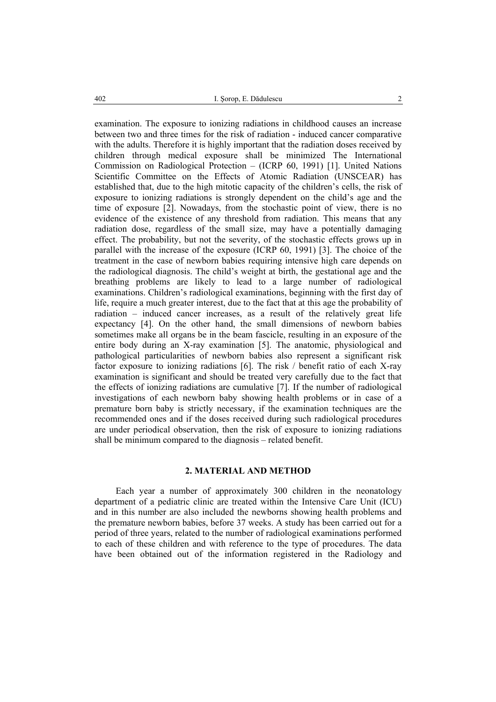examination. The exposure to ionizing radiations in childhood causes an increase between two and three times for the risk of radiation - induced cancer comparative with the adults. Therefore it is highly important that the radiation doses received by children through medical exposure shall be minimized The International Commission on Radiological Protection – (ICRP 60, 1991) [1]. United Nations Scientific Committee on the Effects of Atomic Radiation (UNSCEAR) has established that, due to the high mitotic capacity of the children's cells, the risk of exposure to ionizing radiations is strongly dependent on the child's age and the time of exposure [2]. Nowadays, from the stochastic point of view, there is no evidence of the existence of any threshold from radiation. This means that any radiation dose, regardless of the small size, may have a potentially damaging effect. The probability, but not the severity, of the stochastic effects grows up in parallel with the increase of the exposure (ICRP 60, 1991) [3]. The choice of the treatment in the case of newborn babies requiring intensive high care depends on the radiological diagnosis. The child's weight at birth, the gestational age and the breathing problems are likely to lead to a large number of radiological examinations. Children's radiological examinations, beginning with the first day of life, require a much greater interest, due to the fact that at this age the probability of radiation – induced cancer increases, as a result of the relatively great life expectancy [4]. On the other hand, the small dimensions of newborn babies sometimes make all organs be in the beam fascicle, resulting in an exposure of the entire body during an X-ray examination [5]. The anatomic, physiological and pathological particularities of newborn babies also represent a significant risk factor exposure to ionizing radiations [6]. The risk / benefit ratio of each X-ray examination is significant and should be treated very carefully due to the fact that the effects of ionizing radiations are cumulative [7]. If the number of radiological investigations of each newborn baby showing health problems or in case of a premature born baby is strictly necessary, if the examination techniques are the recommended ones and if the doses received during such radiological procedures are under periodical observation, then the risk of exposure to ionizing radiations shall be minimum compared to the diagnosis – related benefit.

## **2. MATERIAL AND METHOD**

Each year a number of approximately 300 children in the neonatology department of a pediatric clinic are treated within the Intensive Care Unit (ICU) and in this number are also included the newborns showing health problems and the premature newborn babies, before 37 weeks. A study has been carried out for a period of three years, related to the number of radiological examinations performed to each of these children and with reference to the type of procedures. The data have been obtained out of the information registered in the Radiology and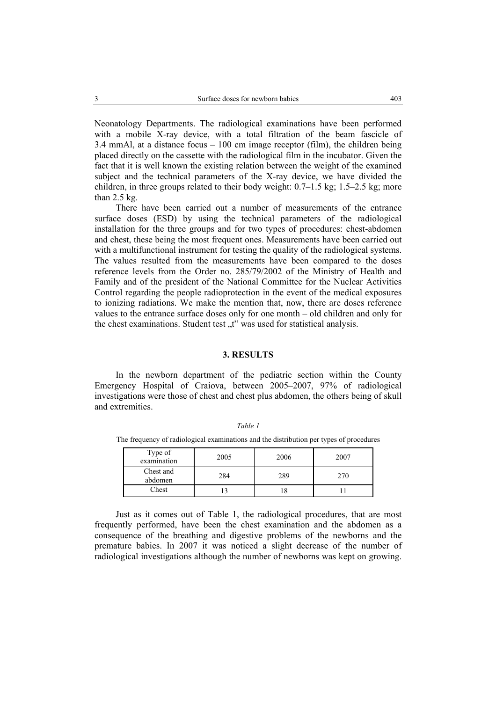Neonatology Departments. The radiological examinations have been performed with a mobile X-ray device, with a total filtration of the beam fascicle of 3.4 mmAl, at a distance focus  $-100$  cm image receptor (film), the children being placed directly on the cassette with the radiological film in the incubator. Given the fact that it is well known the existing relation between the weight of the examined subject and the technical parameters of the X-ray device, we have divided the children, in three groups related to their body weight: 0.7–1.5 kg; 1.5–2.5 kg; more than 2.5 kg.

There have been carried out a number of measurements of the entrance surface doses (ESD) by using the technical parameters of the radiological installation for the three groups and for two types of procedures: chest-abdomen and chest, these being the most frequent ones. Measurements have been carried out with a multifunctional instrument for testing the quality of the radiological systems. The values resulted from the measurements have been compared to the doses reference levels from the Order no. 285/79/2002 of the Ministry of Health and Family and of the president of the National Committee for the Nuclear Activities Control regarding the people radioprotection in the event of the medical exposures to ionizing radiations. We make the mention that, now, there are doses reference values to the entrance surface doses only for one month – old children and only for the chest examinations. Student test  $\mu$ <sup>"</sup> was used for statistical analysis.

# **3. RESULTS**

In the newborn department of the pediatric section within the County Emergency Hospital of Craiova, between 2005–2007, 97% of radiological investigations were those of chest and chest plus abdomen, the others being of skull and extremities.

| Type of<br>examination | 2005 | 2006 | 2007 |
|------------------------|------|------|------|
| Chest and<br>abdomen   | 284  | 289  | 270  |
| Chest                  |      |      |      |

*Table 1*  The frequency of radiological examinations and the distribution per types of procedures

Just as it comes out of Table 1, the radiological procedures, that are most frequently performed, have been the chest examination and the abdomen as a consequence of the breathing and digestive problems of the newborns and the premature babies. In 2007 it was noticed a slight decrease of the number of radiological investigations although the number of newborns was kept on growing.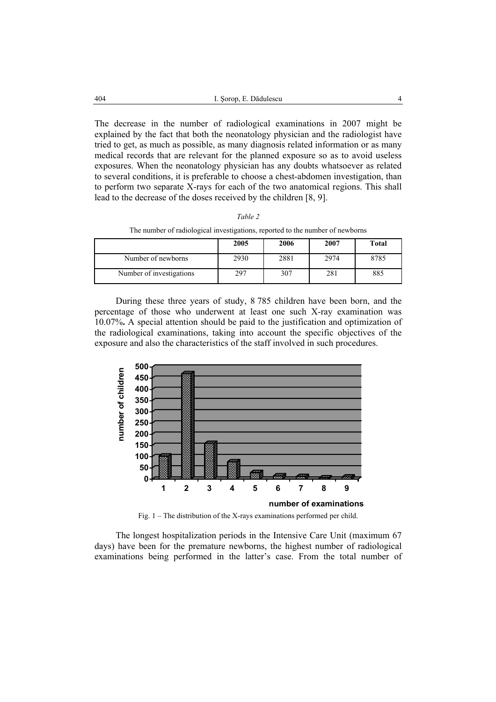The decrease in the number of radiological examinations in 2007 might be explained by the fact that both the neonatology physician and the radiologist have tried to get, as much as possible, as many diagnosis related information or as many medical records that are relevant for the planned exposure so as to avoid useless exposures. When the neonatology physician has any doubts whatsoever as related to several conditions, it is preferable to choose a chest-abdomen investigation, than to perform two separate X-rays for each of the two anatomical regions. This shall lead to the decrease of the doses received by the children [8, 9].

The number of radiological investigations, reported to the number of newborns

|                          | 2005 | 2006 | 2007 | <b>Total</b> |
|--------------------------|------|------|------|--------------|
| Number of newborns       | 2930 | 2881 | 2974 | 8785         |
| Number of investigations | 297  | 307  | 281  | 885          |

During these three years of study, 8 785 children have been born, and the percentage of those who underwent at least one such X-ray examination was 10.07%**.** A special attention should be paid to the justification and optimization of the radiological examinations, taking into account the specific objectives of the exposure and also the characteristics of the staff involved in such procedures.



Fig. 1 – The distribution of the X-rays examinations performed per child.

The longest hospitalization periods in the Intensive Care Unit (maximum 67 days) have been for the premature newborns, the highest number of radiological examinations being performed in the latter's case. From the total number of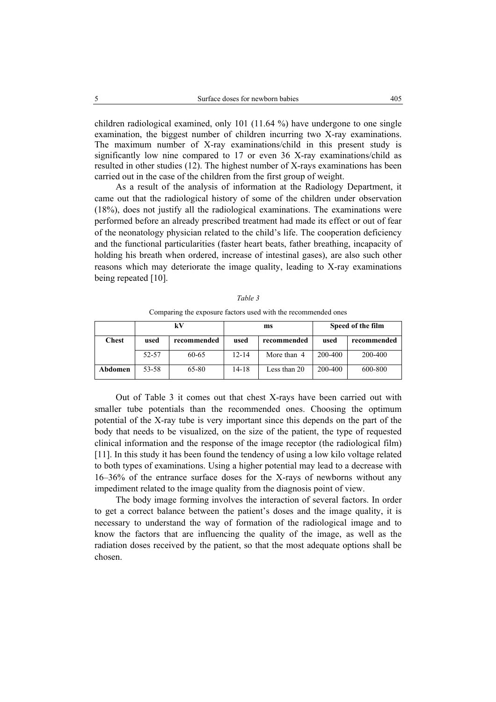children radiological examined, only 101 (11.64 %) have undergone to one single examination, the biggest number of children incurring two X-ray examinations. The maximum number of X-ray examinations/child in this present study is significantly low nine compared to 17 or even 36 X-ray examinations/child as resulted in other studies (12). The highest number of X-rays examinations has been carried out in the case of the children from the first group of weight.

As a result of the analysis of information at the Radiology Department, it came out that the radiological history of some of the children under observation (18%), does not justify all the radiological examinations. The examinations were performed before an already prescribed treatment had made its effect or out of fear of the neonatology physician related to the child's life. The cooperation deficiency and the functional particularities (faster heart beats, father breathing, incapacity of holding his breath when ordered, increase of intestinal gases), are also such other reasons which may deteriorate the image quality, leading to X-ray examinations being repeated [10].

|              | kV    |             | ms        |              | Speed of the film |             |
|--------------|-------|-------------|-----------|--------------|-------------------|-------------|
| <b>Chest</b> | used  | recommended | used      | recommended  | used              | recommended |
|              | 52-57 | 60-65       | $12 - 14$ | More than 4  | 200-400           | 200-400     |
| Abdomen      | 53-58 | 65-80       | $14 - 18$ | Less than 20 | 200-400           | 600-800     |

*Table 3*  Comparing the exposure factors used with the recommended ones

Out of Table 3 it comes out that chest X-rays have been carried out with smaller tube potentials than the recommended ones. Choosing the optimum potential of the X-ray tube is very important since this depends on the part of the body that needs to be visualized, on the size of the patient, the type of requested clinical information and the response of the image receptor (the radiological film) [11]. In this study it has been found the tendency of using a low kilo voltage related to both types of examinations. Using a higher potential may lead to a decrease with 16–36% of the entrance surface doses for the X-rays of newborns without any impediment related to the image quality from the diagnosis point of view.

The body image forming involves the interaction of several factors. In order to get a correct balance between the patient's doses and the image quality, it is necessary to understand the way of formation of the radiological image and to know the factors that are influencing the quality of the image, as well as the radiation doses received by the patient, so that the most adequate options shall be chosen.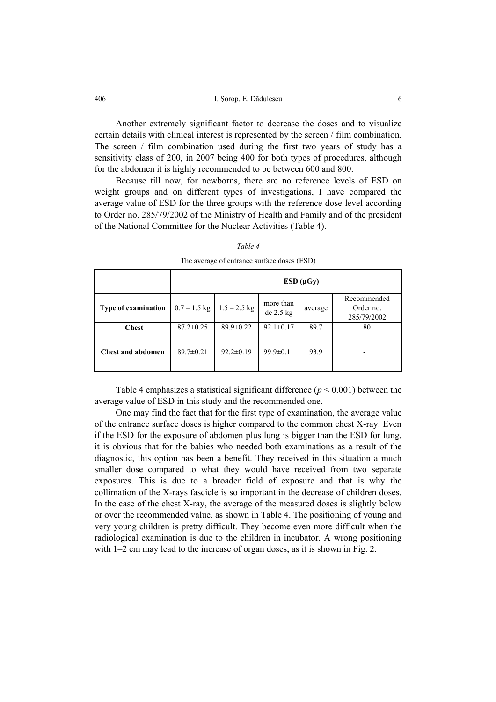Another extremely significant factor to decrease the doses and to visualize certain details with clinical interest is represented by the screen / film combination. The screen / film combination used during the first two years of study has a sensitivity class of 200, in 2007 being 400 for both types of procedures, although for the abdomen it is highly recommended to be between 600 and 800.

Because till now, for newborns, there are no reference levels of ESD on weight groups and on different types of investigations, I have compared the average value of ESD for the three groups with the reference dose level according to Order no. 285/79/2002 of the Ministry of Health and Family and of the president of the National Committee for the Nuclear Activities (Table 4).

|                            | $ESD(\mu Gy)$   |                 |                        |         |                                         |
|----------------------------|-----------------|-----------------|------------------------|---------|-----------------------------------------|
| <b>Type of examination</b> | $0.7 - 1.5$ kg  | $1.5 - 2.5$ kg  | more than<br>de 2.5 kg | average | Recommended<br>Order no.<br>285/79/2002 |
| <b>Chest</b>               | $87.2 \pm 0.25$ | $89.9 \pm 0.22$ | $92.1 \pm 0.17$        | 89.7    | 80                                      |
| Chest and abdomen          | $89.7 \pm 0.21$ | $92.2 \pm 0.19$ | $99.9 \pm 0.11$        | 93.9    |                                         |

*Table 4* 

The average of entrance surface doses (ESD)

Table 4 emphasizes a statistical significant difference  $(p < 0.001)$  between the average value of ESD in this study and the recommended one.

One may find the fact that for the first type of examination, the average value of the entrance surface doses is higher compared to the common chest X-ray. Even if the ESD for the exposure of abdomen plus lung is bigger than the ESD for lung, it is obvious that for the babies who needed both examinations as a result of the diagnostic, this option has been a benefit. They received in this situation a much smaller dose compared to what they would have received from two separate exposures. This is due to a broader field of exposure and that is why the collimation of the X-rays fascicle is so important in the decrease of children doses. In the case of the chest X-ray, the average of the measured doses is slightly below or over the recommended value, as shown in Table 4. The positioning of young and very young children is pretty difficult. They become even more difficult when the radiological examination is due to the children in incubator. A wrong positioning with 1–2 cm may lead to the increase of organ doses, as it is shown in Fig. 2.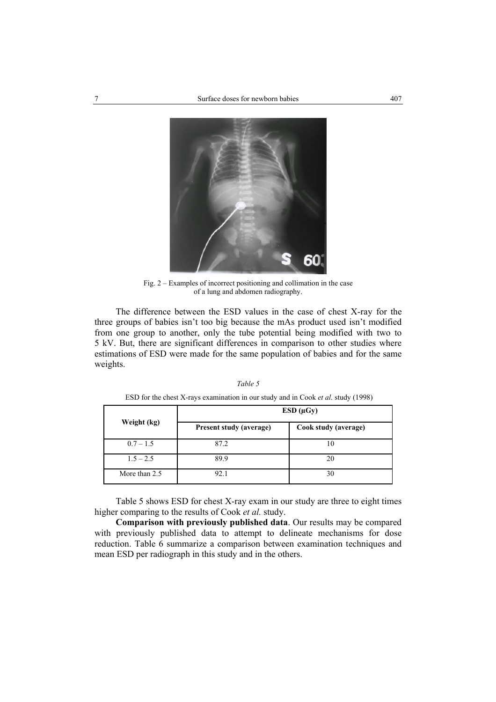

Fig. 2 – Examples of incorrect positioning and collimation in the case of a lung and abdomen radiography.

The difference between the ESD values in the case of chest X-ray for the three groups of babies isn't too big because the mAs product used isn't modified from one group to another, only the tube potential being modified with two to 5 kV. But, there are significant differences in comparison to other studies where estimations of ESD were made for the same population of babies and for the same weights.

|--|--|

|             | $ESD(\mu Gy)$           |                      |  |  |
|-------------|-------------------------|----------------------|--|--|
| Weight (kg) | Present study (average) | Cook study (average) |  |  |
| $0.7 - 1.5$ | 87.2                    |                      |  |  |
| $1.5 - 2.5$ | 89.9                    |                      |  |  |

ESD for the chest X-rays examination in our study and in Cook *et al.* study (1998)

Table 5 shows ESD for chest X-ray exam in our study are three to eight times higher comparing to the results of Cook *et al.* study.

More than 2.5 92.1 30

**Comparison with previously published data**. Our results may be compared with previously published data to attempt to delineate mechanisms for dose reduction. Table 6 summarize a comparison between examination techniques and mean ESD per radiograph in this study and in the others.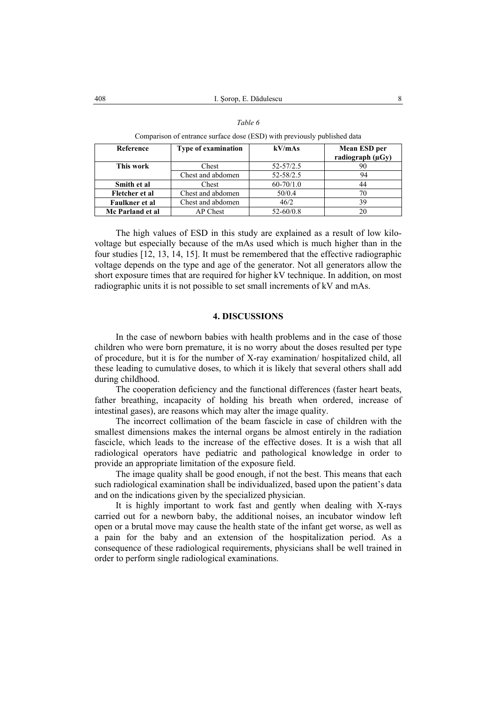| Comparison of entrance surface dose (ESD) with previously published data |                            |               |                                       |  |
|--------------------------------------------------------------------------|----------------------------|---------------|---------------------------------------|--|
| Reference                                                                | <b>Type of examination</b> | kV/mAs        | Mean ESD per<br>radiograph $(\mu Gy)$ |  |
| This work                                                                | Chest                      | $52 - 57/2.5$ | 90                                    |  |
|                                                                          | Chest and abdomen          | $52 - 58/2.5$ | 94                                    |  |
| Smith et al                                                              | Chest                      | $60 - 70/1.0$ | 44                                    |  |
| Fletcher et al                                                           | Chest and abdomen          | 50/0.4        | 70                                    |  |
| Faulkner et al                                                           | Chest and abdomen          | 46/2          | 39                                    |  |
| Mc Parland et al                                                         | AP Chest                   | $52 - 60/0.8$ | 20                                    |  |

|  | $\iota$ n |  |
|--|-----------|--|
|--|-----------|--|

Comparison of entrance surface dose (ESD) with previously published data

The high values of ESD in this study are explained as a result of low kilovoltage but especially because of the mAs used which is much higher than in the four studies [12, 13, 14, 15]. It must be remembered that the effective radiographic voltage depends on the type and age of the generator. Not all generators allow the short exposure times that are required for higher kV technique. In addition, on most radiographic units it is not possible to set small increments of kV and mAs.

# **4. DISCUSSIONS**

In the case of newborn babies with health problems and in the case of those children who were born premature, it is no worry about the doses resulted per type of procedure, but it is for the number of X-ray examination/ hospitalized child, all these leading to cumulative doses, to which it is likely that several others shall add during childhood.

The cooperation deficiency and the functional differences (faster heart beats, father breathing, incapacity of holding his breath when ordered, increase of intestinal gases), are reasons which may alter the image quality.

The incorrect collimation of the beam fascicle in case of children with the smallest dimensions makes the internal organs be almost entirely in the radiation fascicle, which leads to the increase of the effective doses. It is a wish that all radiological operators have pediatric and pathological knowledge in order to provide an appropriate limitation of the exposure field.

The image quality shall be good enough, if not the best. This means that each such radiological examination shall be individualized, based upon the patient's data and on the indications given by the specialized physician.

It is highly important to work fast and gently when dealing with X-rays carried out for a newborn baby, the additional noises, an incubator window left open or a brutal move may cause the health state of the infant get worse, as well as a pain for the baby and an extension of the hospitalization period. As a consequence of these radiological requirements, physicians shall be well trained in order to perform single radiological examinations.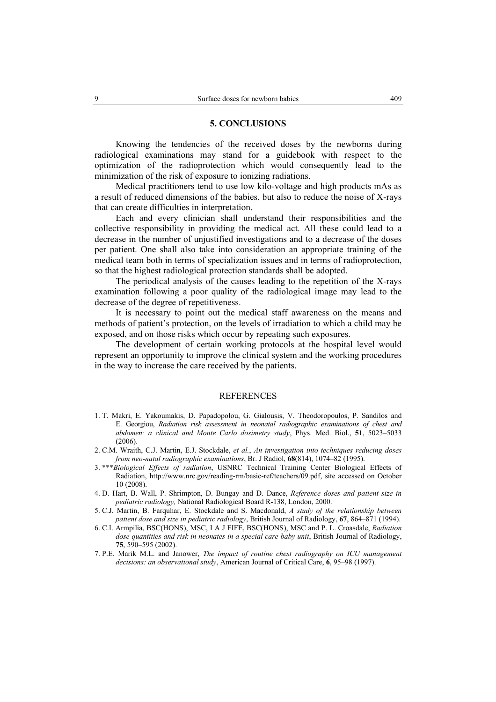#### **5. CONCLUSIONS**

Knowing the tendencies of the received doses by the newborns during radiological examinations may stand for a guidebook with respect to the optimization of the radioprotection which would consequently lead to the minimization of the risk of exposure to ionizing radiations.

Medical practitioners tend to use low kilo-voltage and high products mAs as a result of reduced dimensions of the babies, but also to reduce the noise of X-rays that can create difficulties in interpretation.

Each and every clinician shall understand their responsibilities and the collective responsibility in providing the medical act. All these could lead to a decrease in the number of unjustified investigations and to a decrease of the doses per patient. One shall also take into consideration an appropriate training of the medical team both in terms of specialization issues and in terms of radioprotection, so that the highest radiological protection standards shall be adopted.

The periodical analysis of the causes leading to the repetition of the X-rays examination following a poor quality of the radiological image may lead to the decrease of the degree of repetitiveness.

It is necessary to point out the medical staff awareness on the means and methods of patient's protection, on the levels of irradiation to which a child may be exposed, and on those risks which occur by repeating such exposures.

The development of certain working protocols at the hospital level would represent an opportunity to improve the clinical system and the working procedures in the way to increase the care received by the patients.

#### REFERENCES

- 1. T. Makri, E. Yakoumakis, D. Papadopolou, G. Gialousis, V. Theodoropoulos, P. Sandilos and E. Georgiou, *Radiation risk assessment in neonatal radiographic examinations of chest and abdomen: a clinical and Monte Carlo dosimetry study*, Phys. Med. Biol., **51**, 5023–5033 (2006).
- 2. C.M. Wraith, C.J. Martin, E.J. Stockdale, *et al.*, *An investigation into techniques reducing doses from neo-natal radiographic examinations*, Br. J Radiol, **68**(814), 1074–82 (1995).
- 3. \*\*\**Biological Effects of radiation*, USNRC Technical Training Center Biological Effects of Radiation, http://www.nrc.gov/reading-rm/basic-ref/teachers/09.pdf, site accessed on October 10 (2008).
- 4. D. Hart, B. Wall, P. Shrimpton, D. Bungay and D. Dance, *Reference doses and patient size in pediatric radiology,* National Radiological Board R-138, London, 2000.
- 5. C.J. Martin, B. Farquhar, E. Stockdale and S. Macdonald, *A study of the relationship between patient dose and size in pediatric radiology*, British Journal of Radiology, **67**, 864–871 (1994).
- 6. C.I. Armpilia, BSC(HONS), MSC, I A J FIFE, BSC(HONS), MSC and P. L. Croasdale, *Radiation dose quantities and risk in neonates in a special care baby unit*, British Journal of Radiology, **75**, 590–595 (2002).
- 7. P.E. Marik M.L. and Janower, *The impact of routine chest radiography on ICU management decisions: an observational study*, American Journal of Critical Care, **6**, 95–98 (1997).